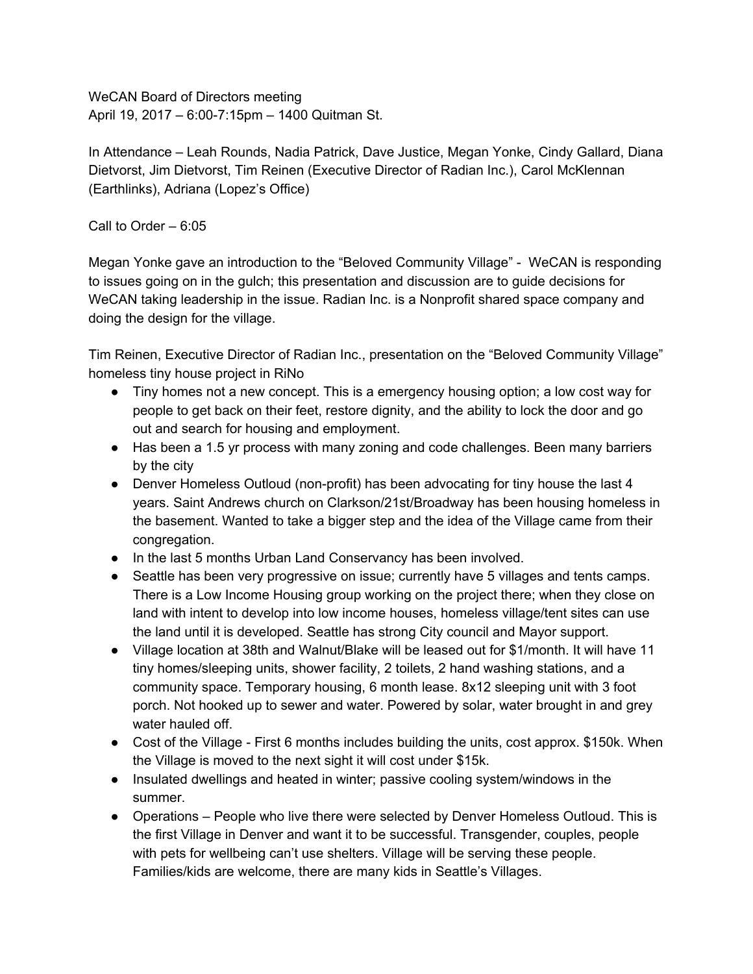WeCAN Board of Directors meeting April 19, 2017 – 6:00-7:15pm – 1400 Quitman St.

In Attendance – Leah Rounds, Nadia Patrick, Dave Justice, Megan Yonke, Cindy Gallard, Diana Dietvorst, Jim Dietvorst, Tim Reinen (Executive Director of Radian Inc.), Carol McKlennan (Earthlinks), Adriana (Lopez's Office)

Call to Order – 6:05

Megan Yonke gave an introduction to the "Beloved Community Village" - WeCAN is responding to issues going on in the gulch; this presentation and discussion are to guide decisions for WeCAN taking leadership in the issue. Radian Inc. is a Nonprofit shared space company and doing the design for the village.

Tim Reinen, Executive Director of Radian Inc., presentation on the "Beloved Community Village" homeless tiny house project in RiNo

- Tiny homes not a new concept. This is a emergency housing option; a low cost way for people to get back on their feet, restore dignity, and the ability to lock the door and go out and search for housing and employment.
- Has been a 1.5 yr process with many zoning and code challenges. Been many barriers by the city
- Denver Homeless Outloud (non-profit) has been advocating for tiny house the last 4 years. Saint Andrews church on Clarkson/21st/Broadway has been housing homeless in the basement. Wanted to take a bigger step and the idea of the Village came from their congregation.
- In the last 5 months Urban Land Conservancy has been involved.
- Seattle has been very progressive on issue; currently have 5 villages and tents camps. There is a Low Income Housing group working on the project there; when they close on land with intent to develop into low income houses, homeless village/tent sites can use the land until it is developed. Seattle has strong City council and Mayor support.
- Village location at 38th and Walnut/Blake will be leased out for \$1/month. It will have 11 tiny homes/sleeping units, shower facility, 2 toilets, 2 hand washing stations, and a community space. Temporary housing, 6 month lease. 8x12 sleeping unit with 3 foot porch. Not hooked up to sewer and water. Powered by solar, water brought in and grey water hauled off.
- Cost of the Village First 6 months includes building the units, cost approx. \$150k. When the Village is moved to the next sight it will cost under \$15k.
- Insulated dwellings and heated in winter; passive cooling system/windows in the summer.
- Operations People who live there were selected by Denver Homeless Outloud. This is the first Village in Denver and want it to be successful. Transgender, couples, people with pets for wellbeing can't use shelters. Village will be serving these people. Families/kids are welcome, there are many kids in Seattle's Villages.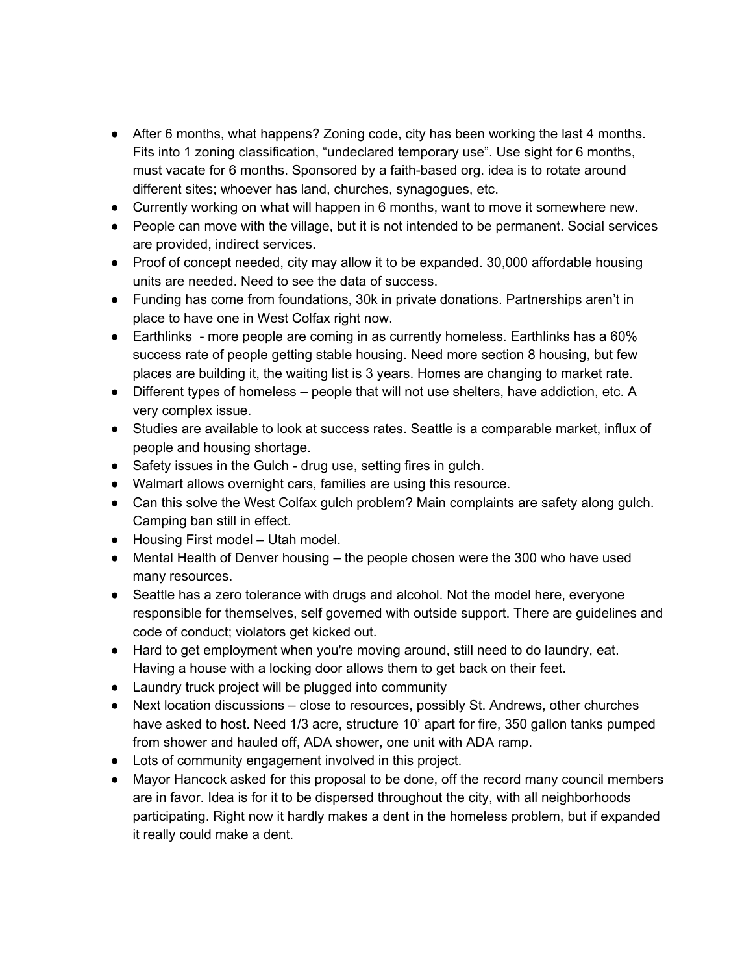- After 6 months, what happens? Zoning code, city has been working the last 4 months. Fits into 1 zoning classification, "undeclared temporary use". Use sight for 6 months, must vacate for 6 months. Sponsored by a faith-based org. idea is to rotate around different sites; whoever has land, churches, synagogues, etc.
- Currently working on what will happen in 6 months, want to move it somewhere new.
- People can move with the village, but it is not intended to be permanent. Social services are provided, indirect services.
- Proof of concept needed, city may allow it to be expanded. 30,000 affordable housing units are needed. Need to see the data of success.
- Funding has come from foundations, 30k in private donations. Partnerships aren't in place to have one in West Colfax right now.
- Earthlinks more people are coming in as currently homeless. Earthlinks has a 60% success rate of people getting stable housing. Need more section 8 housing, but few places are building it, the waiting list is 3 years. Homes are changing to market rate.
- Different types of homeless people that will not use shelters, have addiction, etc. A very complex issue.
- Studies are available to look at success rates. Seattle is a comparable market, influx of people and housing shortage.
- Safety issues in the Gulch drug use, setting fires in gulch.
- Walmart allows overnight cars, families are using this resource.
- Can this solve the West Colfax gulch problem? Main complaints are safety along gulch. Camping ban still in effect.
- Housing First model Utah model.
- Mental Health of Denver housing the people chosen were the 300 who have used many resources.
- Seattle has a zero tolerance with drugs and alcohol. Not the model here, everyone responsible for themselves, self governed with outside support. There are guidelines and code of conduct; violators get kicked out.
- Hard to get employment when you're moving around, still need to do laundry, eat. Having a house with a locking door allows them to get back on their feet.
- Laundry truck project will be plugged into community
- Next location discussions close to resources, possibly St. Andrews, other churches have asked to host. Need 1/3 acre, structure 10' apart for fire, 350 gallon tanks pumped from shower and hauled off, ADA shower, one unit with ADA ramp.
- Lots of community engagement involved in this project.
- Mayor Hancock asked for this proposal to be done, off the record many council members are in favor. Idea is for it to be dispersed throughout the city, with all neighborhoods participating. Right now it hardly makes a dent in the homeless problem, but if expanded it really could make a dent.